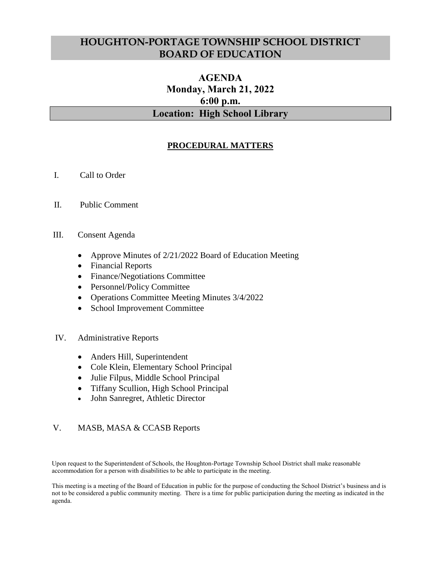# **HOUGHTON-PORTAGE TOWNSHIP SCHOOL DISTRICT BOARD OF EDUCATION**

# **AGENDA Monday, March 21, 2022 6:00 p.m. Location: High School Library**

### **PROCEDURAL MATTERS**

- I. Call to Order
- II. Public Comment

#### III. Consent Agenda

- Approve Minutes of 2/21/2022 Board of Education Meeting
- Financial Reports
- Finance/Negotiations Committee
- Personnel/Policy Committee
- Operations Committee Meeting Minutes 3/4/2022
- School Improvement Committee

#### IV. Administrative Reports

- Anders Hill, Superintendent
- Cole Klein, Elementary School Principal
- Julie Filpus, Middle School Principal
- Tiffany Scullion, High School Principal
- John Sanregret, Athletic Director

#### V. MASB, MASA & CCASB Reports

Upon request to the Superintendent of Schools, the Houghton-Portage Township School District shall make reasonable accommodation for a person with disabilities to be able to participate in the meeting.

This meeting is a meeting of the Board of Education in public for the purpose of conducting the School District's business and is not to be considered a public community meeting. There is a time for public participation during the meeting as indicated in the agenda.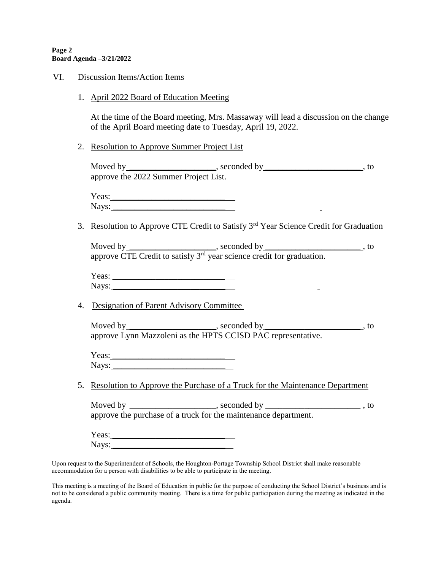#### **Page 2 Board Agenda –3/21/2022**

- VI. Discussion Items/Action Items
	- 1. April 2022 Board of Education Meeting

At the time of the Board meeting, Mrs. Massaway will lead a discussion on the change of the April Board meeting date to Tuesday, April 19, 2022.

2. Resolution to Approve Summer Project List

Moved by \_\_\_\_\_\_\_\_\_\_\_\_\_\_\_\_\_\_\_\_\_\_, seconded by \_\_\_\_\_\_\_\_\_\_\_\_\_\_\_\_\_\_\_\_\_\_\_\_\_\_\_, to approve the 2022 Summer Project List.

Yeas: \_\_\_\_\_\_\_\_\_\_\_\_\_\_\_\_\_\_\_\_\_\_\_\_\_\_  $Nays:$ 

3. Resolution to Approve CTE Credit to Satisfy 3rd Year Science Credit for Graduation

Moved by \_\_\_\_\_\_\_\_\_\_\_\_\_\_\_\_\_\_\_\_\_\_, seconded by \_\_\_\_\_\_\_\_\_\_\_\_\_\_\_\_\_\_\_\_\_\_\_\_\_\_, to approve CTE Credit to satisfy 3<sup>rd</sup> year science credit for graduation.

Yeas: \_\_\_\_\_\_\_\_\_\_\_\_\_\_\_\_\_\_\_\_\_\_\_\_\_\_ Nays: \_\_\_\_\_\_\_\_\_\_\_\_\_\_\_\_\_\_\_\_\_\_\_\_\_\_

4.Designation of Parent Advisory Committee

Moved by \_\_\_\_\_\_\_\_\_\_\_\_\_\_\_\_\_\_\_\_\_\_, seconded by \_\_\_\_\_\_\_\_\_\_\_\_\_\_\_\_\_\_\_\_\_\_\_\_\_\_, to approve Lynn Mazzoleni as the HPTS CCISD PAC representative.

Yeas: \_\_\_\_\_\_\_\_\_\_\_\_\_\_\_\_\_\_\_\_\_\_\_\_\_\_ Nays: \_\_\_\_\_\_\_\_\_\_\_\_\_\_\_\_\_\_\_\_\_\_\_\_\_\_

5. Resolution to Approve the Purchase of a Truck for the Maintenance Department

| Moved by $\_$    | , seconded by                                                   |  |
|------------------|-----------------------------------------------------------------|--|
|                  | approve the purchase of a truck for the maintenance department. |  |
| $\mathbf V$ age. |                                                                 |  |

Yeas: \_\_\_\_\_\_\_\_\_\_\_\_\_\_\_\_\_\_\_\_\_\_\_\_\_\_ Nays: \_\_\_\_\_\_\_\_\_\_\_\_\_\_\_\_\_\_\_\_\_\_\_\_\_\_

Upon request to the Superintendent of Schools, the Houghton-Portage Township School District shall make reasonable accommodation for a person with disabilities to be able to participate in the meeting.

This meeting is a meeting of the Board of Education in public for the purpose of conducting the School District's business and is not to be considered a public community meeting. There is a time for public participation during the meeting as indicated in the agenda.